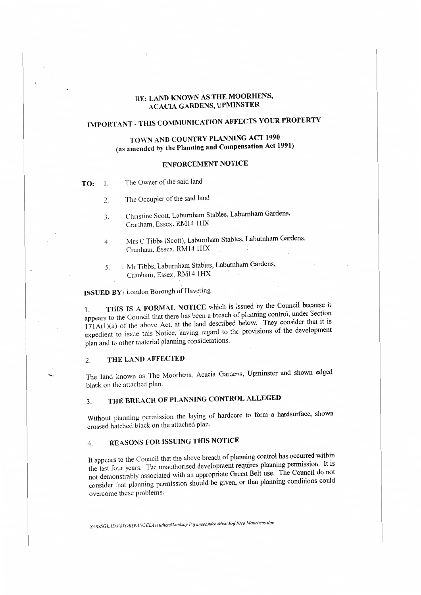## **RE: LAND KNOWN AS THE MOORHENS, ACACIA GARDENS, UPMINSTER**

# **IMPORT ANT** - **THIS COMMUNICATION AFFECTS YOUR PROPERTY**

# **TOWN AND COUNTRY PLANNING ACT 1990 (as amended by the Planning and Compensation Act 1991)**

## **ENFORCEMENT NOTICE**

- **TO:** I. The Owner of the said land
	- 2. The Occupier of the said land
	- 3. Christine Scott, Laburnham Stables, Laburnham Gardens, Cranham, Essex, RM14 1HX
	- 4. Mrs C Tibbs (Scott), Laburnham Stables, Laburnham Gardens, Cranham, Essex, RM14 1HX
	- 5. Mr Tibbs. Laburnham Stables, Laburnham Gardens, Cranham, Essex, RM14 lHX

# **ISSUED BY:** London Borough of Havering

1. **THIS IS** A **FORMAL NOTICE** which is :ssued by the Council because it appears to the Council that there has been a breach of planning control, under Section  $171A(1)(a)$  of the above Act, at the land described below. They consider that it is expedient to issue this Notice, having regard to the provisions of the development plan and to other material planning considerations.

### 2. **THE LAND AFFECTED**

The land known as The Moorhens, Acacia Garaeris, Upminster and shown edged black on the attached plan.

# 3. THE BREACH OF PLANNING CONTROL ALLEGED

Without planning permission the laying of hardcore to form a hardsurface, shown crossed hatched black on the attached plan.

# 4. **REASONS FOR ISSUING THIS NOTICE**

It appears to the Council that the above breach of planning control has occurred within the last four years. The unauthorised development requires planning permission. It is not demonstrably associated with an appropriate Green Belt use. The Council do not consider that planning permission should be given, or that planning conditions could overcome these problems.

*S: \BSSGL.-1* DJ/\ I*l'ORDU* .\'GELA *Uuthurs\li11dsay Payaneeandee\Misc\Erif Nice Moorhens.doc*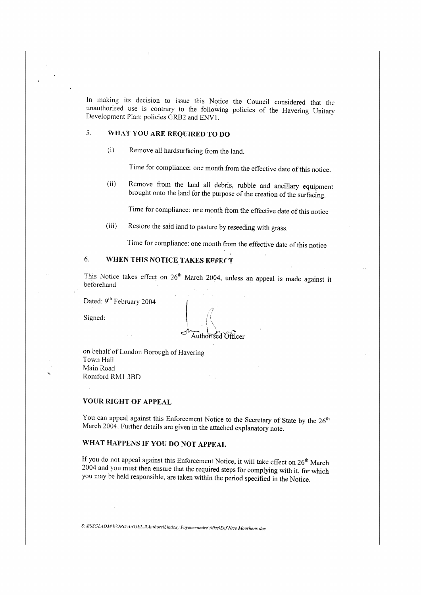In muking its decision to issue this Notice the Council considered that the unauthorised use is contrary to the following policies of the Havering Unitary Development Plan: policies GRB2 and ENVl.

# 5. **\VHAT YOU ARE REQUIRED TO DO**

(i} Remove all hardsurfacing from the land.

Time for compliance: one month from the effective date of this notice.

(ii) Remove from the land all debris, rubble and ancillary equipment brought onto the land for the purpose of the creation of the surfacing.

Time for compliance: one month from the effective date of this notice

(iii) Restore the said land to pasture by reseeding with grass.

Time for compliance: one month from the effective date ofthis notice

# 6. **WHEN THIS NOTICE TAKES EFFECT**

This Notice takes effect on  $26<sup>th</sup>$  March 2004, unless an appeal is made against it beforehand

Dated: 9<sup>th</sup> February 2004

Signed:

Authorised Officer

on behalf of London Borough of Havering Town Hall Main Road Romford RM1 3BD

### **YOUR RIGHT OF APPEAL**

You can appeal against this Enforcement Notice to the Secretary of State by the 26<sup>th</sup> March 2004. Further details are given in the attached explanatory note.

# **WHAT HAPPENS IF YOU DO NOT APPEAL**

If you do not appeal against this Enforcement Notice, it will take effect on 26<sup>th</sup> March 2004 and you must then ensure that the required steps for complying with it, for which you may be held responsible, are taken within the period specified in the Notice.

*S: IBSSG LID.\* II *IVOl?DU* ,VG*ELA* l~11//10rs *IUndsay P"yoneeandee \MisclE,if Ntce Moorhens.doc*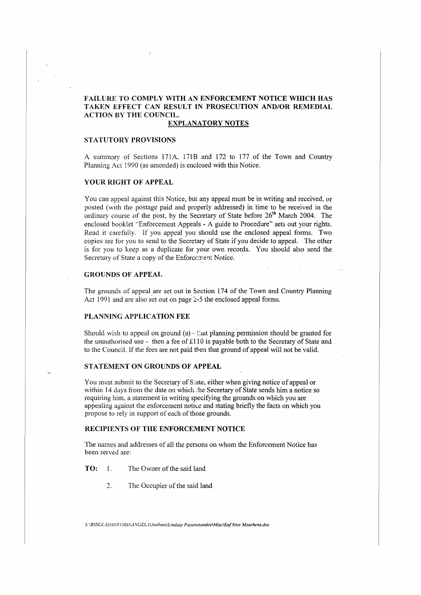### **FAILURE TO COMPLY WITH AN ENFORCEMENT NOTICE WHICH HAS TAKEN EFFECT CAN RESULT IN PROSECUTION AND/OR REMEDIAL ACTION BY THE COUNCTL.**

### **FXPLANATORY NOTES**

### **STATUTORY PROVISIONS**

A summary of Sections 171A, 171B and 172 to 177 of the Town and Country Planning Act 1990 (as amended) is enclosed with this Notice.

### **YOUR RIGHT OF APPEAL**

You can appeal against this Notice, but any appeal must be in writing and received, or posted ( with the postage paid and properly addressed) in time to be received in the ordinary course of the post, by the Secretary of State before  $26<sup>th</sup>$  March 2004. The enclosed booklet "Enforcement Appeals - A guide to Procedure" sets out your rights. Read it carefully. 1f you appeal you should use the enclosed appeal forms. Two copies are for you to send to the Secretary of State if you decide to appeal. The other is for you to keep as a duplicate for your own records. You should also send the Secretary of State a copy of the Enforcement Notice.

### **GROUNDS OF APPEAL**

The grounds of appeal are set out in Section 174 of the Town and Country Planning Act 1991 and are also set out on page  $2-5$  the enclosed appeal forms.

#### **PLANNING APPLICATION FEE**

Should wish to appeal on ground (a)  $\cdot$  that planning permission should be granted for the unauthorised use - then a fee of £110 is payable both to the Secretary of State and to the Council. lf the fees are not paid tben that ground of appeal will not be valid.

#### **STATEMENT ON GROUNDS OF APPEAL**

You must submit to the Secretary of State, either when giving notice of appeal or within 14 days from the date on which :he Secretary of State sends him a notice so requiring him. a statement in writing specifying the grounds on which you are appealing against the enforcement notice and stating briefly the facts on which you propose to rely in support of each of those grounds.

### **RECIPIENTS OF THE ENFORCEMENT NOTICE**

The names and addresses of all the persons on whom the Enforcement Notice has been served are:

### **TO:** 1. The Owner of the said land

2. The Occupier of the said land

S:\BSSGLADM\WORD\ANGELA\Authors\Lindsay Payaneeandee\Misc\Enf Ntce Moorhens.doc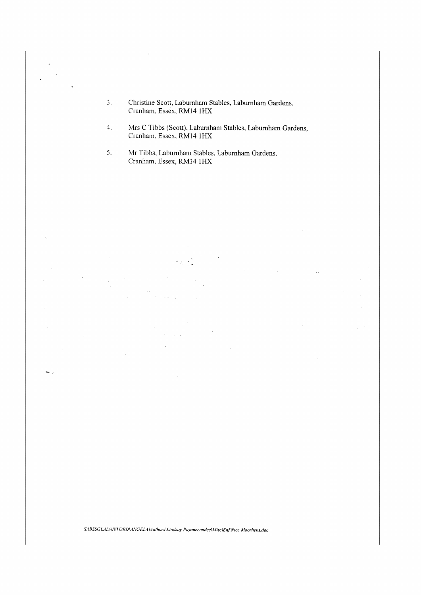- J. Christine Scott, Laburnham Stables, Laburnham Gardens, Cranham, Essex, RM14 lHX
- 4. Mrs C Tibbs (Scott). Laburnham Stables, Laburnham Gardens, Cranham, Essex, RMl4 lHX
- 5. Mr Tibbs. Laburnham Stables, Laburnham Gardens, Cranham, Essex, RM14 1HX

÷,

 $\mathbf{w}_i$ 

S:\BSSGLADM\WORD\ANGELA\duthors\Lindsay Payaneeandee\Misc\Enf Ntce Moorhens.doc